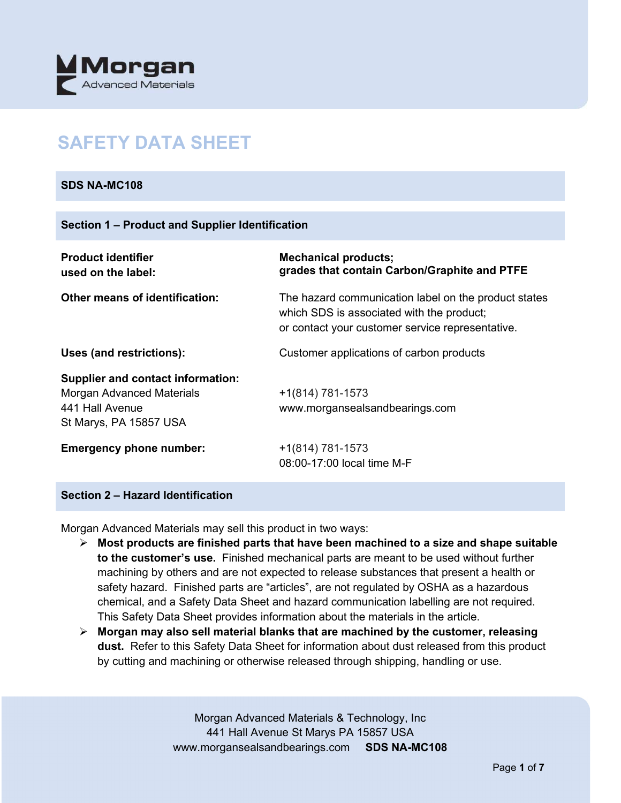

# **SAFETY DATA SHEET**

# **SDS NA-MC108**

#### **Section 1 – Product and Supplier Identification**

| <b>Product identifier</b><br>used on the label:                                                                           | <b>Mechanical products;</b><br>grades that contain Carbon/Graphite and PTFE                                                                           |
|---------------------------------------------------------------------------------------------------------------------------|-------------------------------------------------------------------------------------------------------------------------------------------------------|
| Other means of identification:                                                                                            | The hazard communication label on the product states<br>which SDS is associated with the product;<br>or contact your customer service representative. |
| Uses (and restrictions):                                                                                                  | Customer applications of carbon products                                                                                                              |
| <b>Supplier and contact information:</b><br><b>Morgan Advanced Materials</b><br>441 Hall Avenue<br>St Marys, PA 15857 USA | +1(814) 781-1573<br>www.morgansealsandbearings.com                                                                                                    |
| <b>Emergency phone number:</b>                                                                                            | $+1(814) 781-1573$<br>08:00-17:00 local time M-F                                                                                                      |

## **Section 2 – Hazard Identification**

Morgan Advanced Materials may sell this product in two ways:

- **Most products are finished parts that have been machined to a size and shape suitable to the customer's use.** Finished mechanical parts are meant to be used without further machining by others and are not expected to release substances that present a health or safety hazard. Finished parts are "articles", are not regulated by OSHA as a hazardous chemical, and a Safety Data Sheet and hazard communication labelling are not required. This Safety Data Sheet provides information about the materials in the article.
- **Morgan may also sell material blanks that are machined by the customer, releasing dust.** Refer to this Safety Data Sheet for information about dust released from this product by cutting and machining or otherwise released through shipping, handling or use.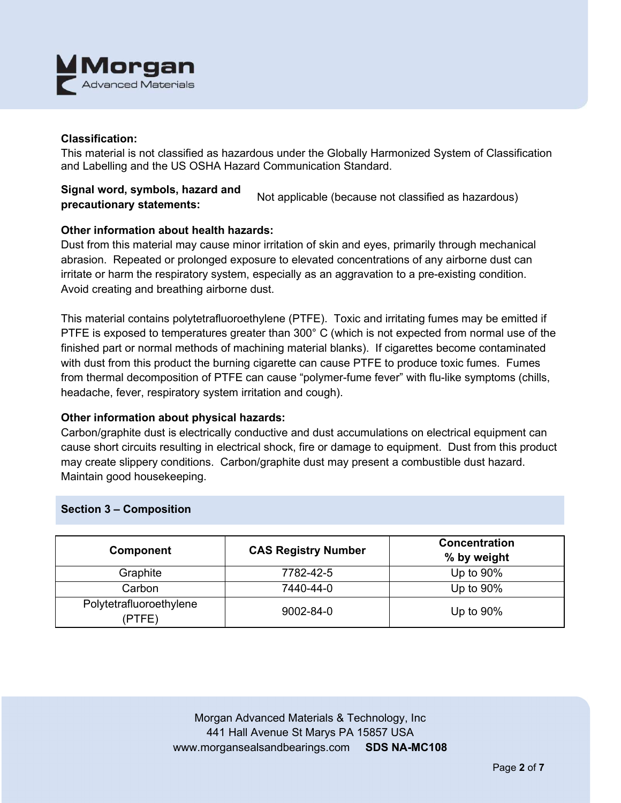

## **Classification:**

This material is not classified as hazardous under the Globally Harmonized System of Classification and Labelling and the US OSHA Hazard Communication Standard.

# **Signal word, symbols, hazard and precautionary statements:** Not applicable (because not classified as hazardous)

## **Other information about health hazards:**

Dust from this material may cause minor irritation of skin and eyes, primarily through mechanical abrasion. Repeated or prolonged exposure to elevated concentrations of any airborne dust can irritate or harm the respiratory system, especially as an aggravation to a pre-existing condition. Avoid creating and breathing airborne dust.

This material contains polytetrafluoroethylene (PTFE). Toxic and irritating fumes may be emitted if PTFE is exposed to temperatures greater than 300° C (which is not expected from normal use of the finished part or normal methods of machining material blanks). If cigarettes become contaminated with dust from this product the burning cigarette can cause PTFE to produce toxic fumes. Fumes from thermal decomposition of PTFE can cause "polymer-fume fever" with flu-like symptoms (chills, headache, fever, respiratory system irritation and cough).

#### **Other information about physical hazards:**

Carbon/graphite dust is electrically conductive and dust accumulations on electrical equipment can cause short circuits resulting in electrical shock, fire or damage to equipment. Dust from this product may create slippery conditions. Carbon/graphite dust may present a combustible dust hazard. Maintain good housekeeping.

#### **Section 3 – Composition**

| <b>Component</b>                  | <b>CAS Registry Number</b> | <b>Concentration</b><br>% by weight |
|-----------------------------------|----------------------------|-------------------------------------|
| Graphite                          | 7782-42-5                  | Up to 90%                           |
| Carbon                            | 7440-44-0                  | Up to $90\%$                        |
| Polytetrafluoroethylene<br>(PTFE) | 9002-84-0                  | Up to $90\%$                        |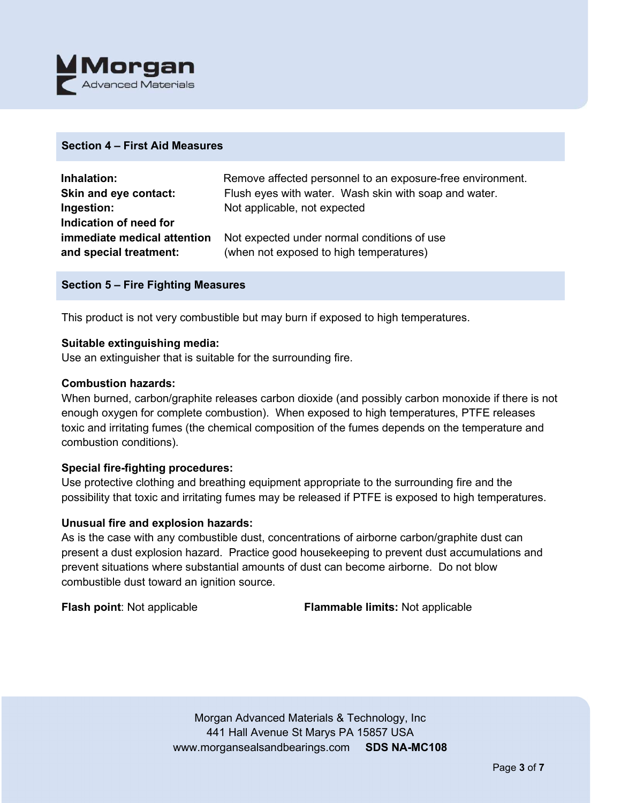

## **Section 4 – First Aid Measures**

| Inhalation:                 | Remove affected personnel to an exposure-free environment. |
|-----------------------------|------------------------------------------------------------|
| Skin and eye contact:       | Flush eyes with water. Wash skin with soap and water.      |
| Ingestion:                  | Not applicable, not expected                               |
| Indication of need for      |                                                            |
| immediate medical attention | Not expected under normal conditions of use                |
| and special treatment:      | (when not exposed to high temperatures)                    |

## **Section 5 – Fire Fighting Measures**

This product is not very combustible but may burn if exposed to high temperatures.

#### **Suitable extinguishing media:**

Use an extinguisher that is suitable for the surrounding fire.

## **Combustion hazards:**

When burned, carbon/graphite releases carbon dioxide (and possibly carbon monoxide if there is not enough oxygen for complete combustion). When exposed to high temperatures, PTFE releases toxic and irritating fumes (the chemical composition of the fumes depends on the temperature and combustion conditions).

#### **Special fire-fighting procedures:**

Use protective clothing and breathing equipment appropriate to the surrounding fire and the possibility that toxic and irritating fumes may be released if PTFE is exposed to high temperatures.

#### **Unusual fire and explosion hazards:**

As is the case with any combustible dust, concentrations of airborne carbon/graphite dust can present a dust explosion hazard. Practice good housekeeping to prevent dust accumulations and prevent situations where substantial amounts of dust can become airborne. Do not blow combustible dust toward an ignition source.

**Flash point**: Not applicable **Flammable limits:** Not applicable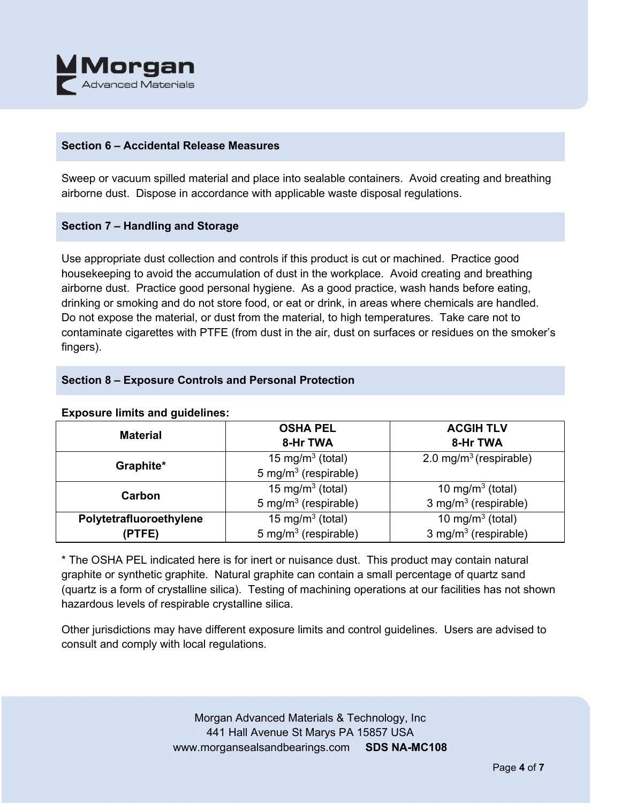

## **Section 6 – Accidental Release Measures**

Sweep or vacuum spilled material and place into sealable containers. Avoid creating and breathing airborne dust. Dispose in accordance with applicable waste disposal regulations.

## **Section 7 – Handling and Storage**

Use appropriate dust collection and controls if this product is cut or machined. Practice good housekeeping to avoid the accumulation of dust in the workplace. Avoid creating and breathing airborne dust. Practice good personal hygiene. As a good practice, wash hands before eating, drinking or smoking and do not store food, or eat or drink, in areas where chemicals are handled. Do not expose the material, or dust from the material, to high temperatures. Take care not to contaminate cigarettes with PTFE (from dust in the air, dust on surfaces or residues on the smoker's fingers).

# **Section 8 – Exposure Controls and Personal Protection**

| <b>Material</b>                                         | <b>OSHA PEL</b>                  | <b>ACGIH TLV</b>                   |
|---------------------------------------------------------|----------------------------------|------------------------------------|
|                                                         | 8-Hr TWA                         | 8-Hr TWA                           |
| Graphite*                                               | 15 mg/m <sup>3</sup> (total)     | 2.0 mg/m <sup>3</sup> (respirable) |
|                                                         | 5 mg/m <sup>3</sup> (respirable) |                                    |
| Carbon                                                  | 15 mg/m <sup>3</sup> (total)     | 10 mg/m <sup>3</sup> (total)       |
|                                                         | 5 mg/m <sup>3</sup> (respirable) | 3 mg/m <sup>3</sup> (respirable)   |
| 15 mg/m <sup>3</sup> (total)<br>Polytetrafluoroethylene |                                  | 10 mg/m <sup>3</sup> (total)       |
| (PTFE)                                                  | 5 mg/m <sup>3</sup> (respirable) | 3 mg/m $3$ (respirable)            |

# **Exposure limits and guidelines:**

\* The OSHA PEL indicated here is for inert or nuisance dust. This product may contain natural graphite or synthetic graphite. Natural graphite can contain a small percentage of quartz sand (quartz is a form of crystalline silica). Testing of machining operations at our facilities has not shown hazardous levels of respirable crystalline silica.

Other jurisdictions may have different exposure limits and control guidelines. Users are advised to consult and comply with local regulations.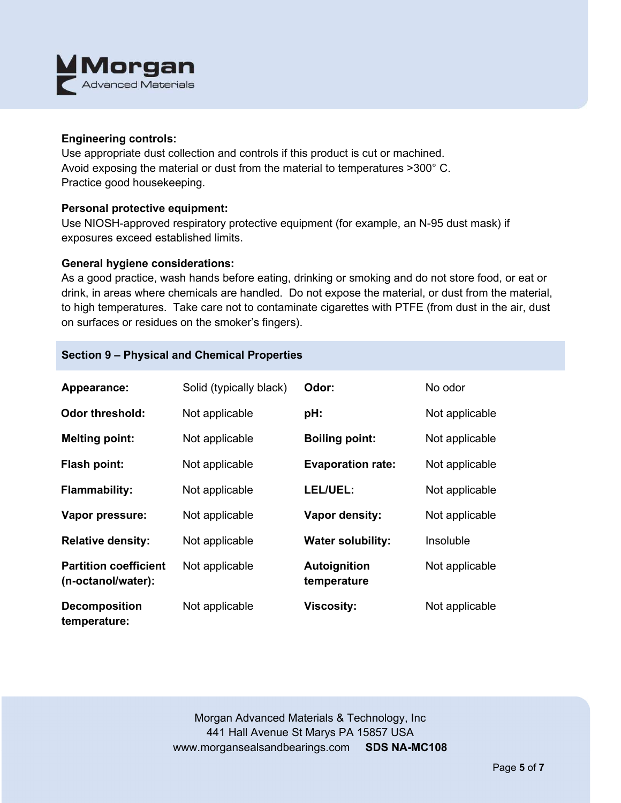

## **Engineering controls:**

Use appropriate dust collection and controls if this product is cut or machined. Avoid exposing the material or dust from the material to temperatures >300° C. Practice good housekeeping.

# **Personal protective equipment:**

Use NIOSH-approved respiratory protective equipment (for example, an N-95 dust mask) if exposures exceed established limits.

## **General hygiene considerations:**

As a good practice, wash hands before eating, drinking or smoking and do not store food, or eat or drink, in areas where chemicals are handled. Do not expose the material, or dust from the material, to high temperatures. Take care not to contaminate cigarettes with PTFE (from dust in the air, dust on surfaces or residues on the smoker's fingers).

# **Section 9 – Physical and Chemical Properties**

| Appearance:                                        | Solid (typically black) | Odor:                       | No odor        |
|----------------------------------------------------|-------------------------|-----------------------------|----------------|
| <b>Odor threshold:</b>                             | Not applicable          | pH:                         | Not applicable |
| <b>Melting point:</b>                              | Not applicable          | <b>Boiling point:</b>       | Not applicable |
| <b>Flash point:</b>                                | Not applicable          | <b>Evaporation rate:</b>    | Not applicable |
| <b>Flammability:</b>                               | Not applicable          | LEL/UEL:                    | Not applicable |
| Vapor pressure:                                    | Not applicable          | <b>Vapor density:</b>       | Not applicable |
| <b>Relative density:</b>                           | Not applicable          | <b>Water solubility:</b>    | Insoluble      |
| <b>Partition coefficient</b><br>(n-octanol/water): | Not applicable          | Autoignition<br>temperature | Not applicable |
| <b>Decomposition</b><br>temperature:               | Not applicable          | <b>Viscosity:</b>           | Not applicable |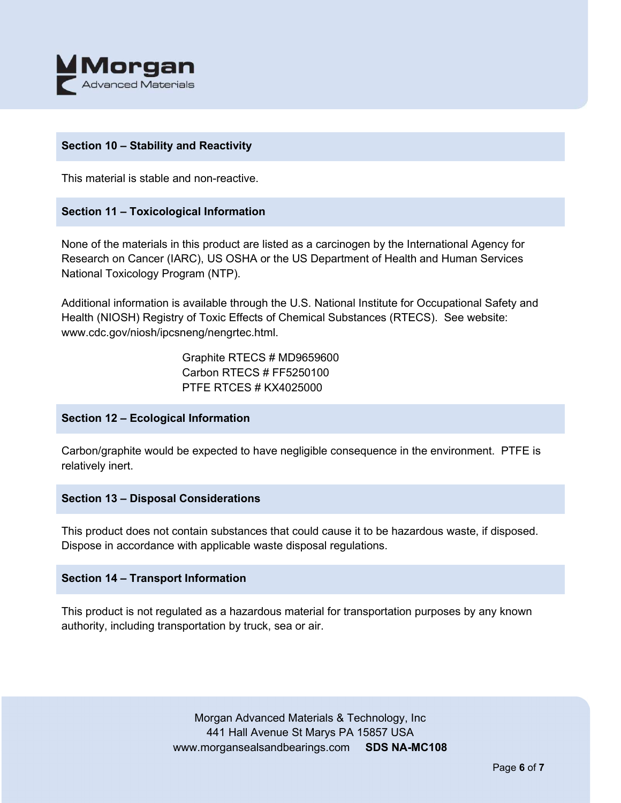

# **Section 10 – Stability and Reactivity**

This material is stable and non-reactive.

## **Section 11 – Toxicological Information**

None of the materials in this product are listed as a carcinogen by the International Agency for Research on Cancer (IARC), US OSHA or the US Department of Health and Human Services National Toxicology Program (NTP).

Additional information is available through the U.S. National Institute for Occupational Safety and Health (NIOSH) Registry of Toxic Effects of Chemical Substances (RTECS). See website: www.cdc.gov/niosh/ipcsneng/nengrtec.html.

> Graphite RTECS # MD9659600 Carbon RTECS # FF5250100 PTFE RTCES # KX4025000

#### **Section 12 – Ecological Information**

Carbon/graphite would be expected to have negligible consequence in the environment. PTFE is relatively inert.

#### **Section 13 – Disposal Considerations**

This product does not contain substances that could cause it to be hazardous waste, if disposed. Dispose in accordance with applicable waste disposal regulations.

#### **Section 14 – Transport Information**

This product is not regulated as a hazardous material for transportation purposes by any known authority, including transportation by truck, sea or air.